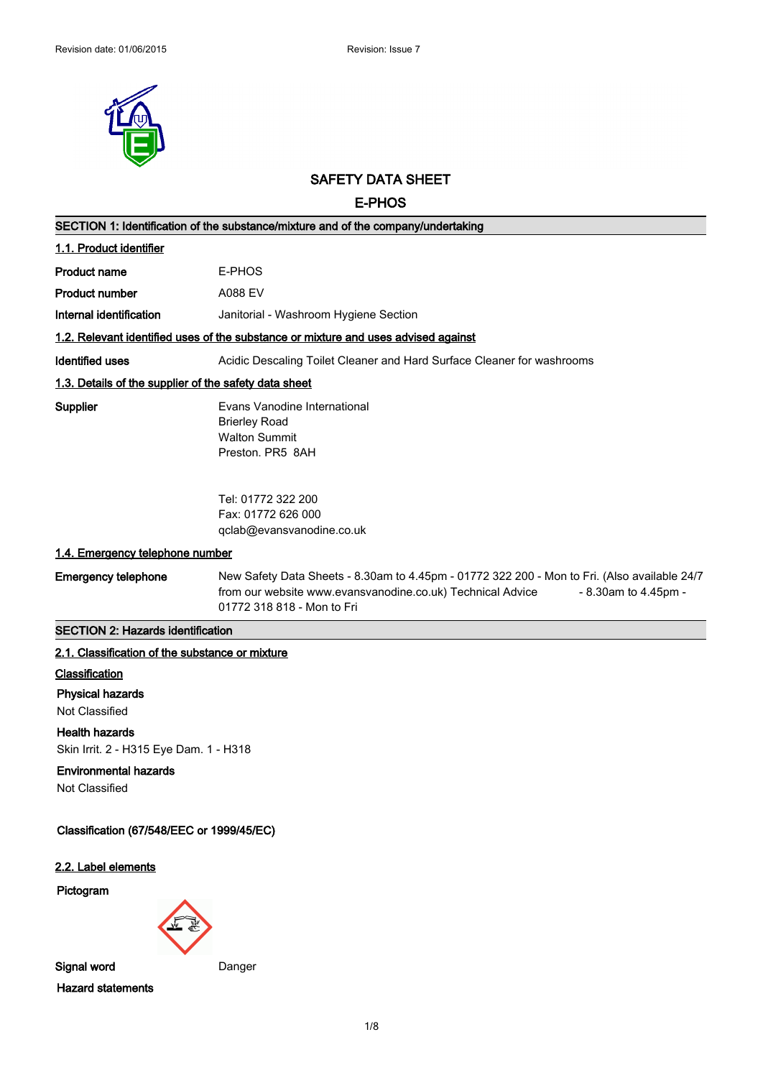

# **SAFETY DATA SHEET**

**E-PHOS**

| SECTION 1: Identification of the substance/mixture and of the company/undertaking |                                                                                                                                                                                                                  |  |
|-----------------------------------------------------------------------------------|------------------------------------------------------------------------------------------------------------------------------------------------------------------------------------------------------------------|--|
| 1.1. Product identifier                                                           |                                                                                                                                                                                                                  |  |
| <b>Product name</b>                                                               | E-PHOS                                                                                                                                                                                                           |  |
| <b>Product number</b>                                                             | A088 EV                                                                                                                                                                                                          |  |
| Internal identification                                                           | Janitorial - Washroom Hygiene Section                                                                                                                                                                            |  |
|                                                                                   | 1.2. Relevant identified uses of the substance or mixture and uses advised against                                                                                                                               |  |
| <b>Identified uses</b>                                                            | Acidic Descaling Toilet Cleaner and Hard Surface Cleaner for washrooms                                                                                                                                           |  |
| 1.3. Details of the supplier of the safety data sheet                             |                                                                                                                                                                                                                  |  |
| <b>Supplier</b>                                                                   | Evans Vanodine International<br><b>Brierley Road</b><br><b>Walton Summit</b><br>Preston. PR5 8AH                                                                                                                 |  |
|                                                                                   | Tel: 01772 322 200<br>Fax: 01772 626 000<br>qclab@evansvanodine.co.uk                                                                                                                                            |  |
| 1.4. Emergency telephone number                                                   |                                                                                                                                                                                                                  |  |
| <b>Emergency telephone</b>                                                        | New Safety Data Sheets - 8.30am to 4.45pm - 01772 322 200 - Mon to Fri. (Also available 24/7<br>from our website www.evansvanodine.co.uk) Technical Advice<br>- 8.30am to 4.45pm -<br>01772 318 818 - Mon to Fri |  |
| <b>SECTION 2: Hazards identification</b>                                          |                                                                                                                                                                                                                  |  |
| 2.1. Classification of the substance or mixture                                   |                                                                                                                                                                                                                  |  |
| Classification                                                                    |                                                                                                                                                                                                                  |  |
| <b>Physical hazards</b>                                                           |                                                                                                                                                                                                                  |  |
| Not Classified<br><b>Health hazards</b>                                           |                                                                                                                                                                                                                  |  |
| Skin Irrit. 2 - H315 Eye Dam. 1 - H318                                            |                                                                                                                                                                                                                  |  |
| <b>Environmental hazards</b><br>Not Classified                                    |                                                                                                                                                                                                                  |  |
| Classification (67/548/EEC or 1999/45/EC)                                         |                                                                                                                                                                                                                  |  |
| 2.2. Label elements                                                               |                                                                                                                                                                                                                  |  |
| Pictogram                                                                         |                                                                                                                                                                                                                  |  |
| Signal word                                                                       | Danger                                                                                                                                                                                                           |  |
| <b>Hazard statements</b>                                                          |                                                                                                                                                                                                                  |  |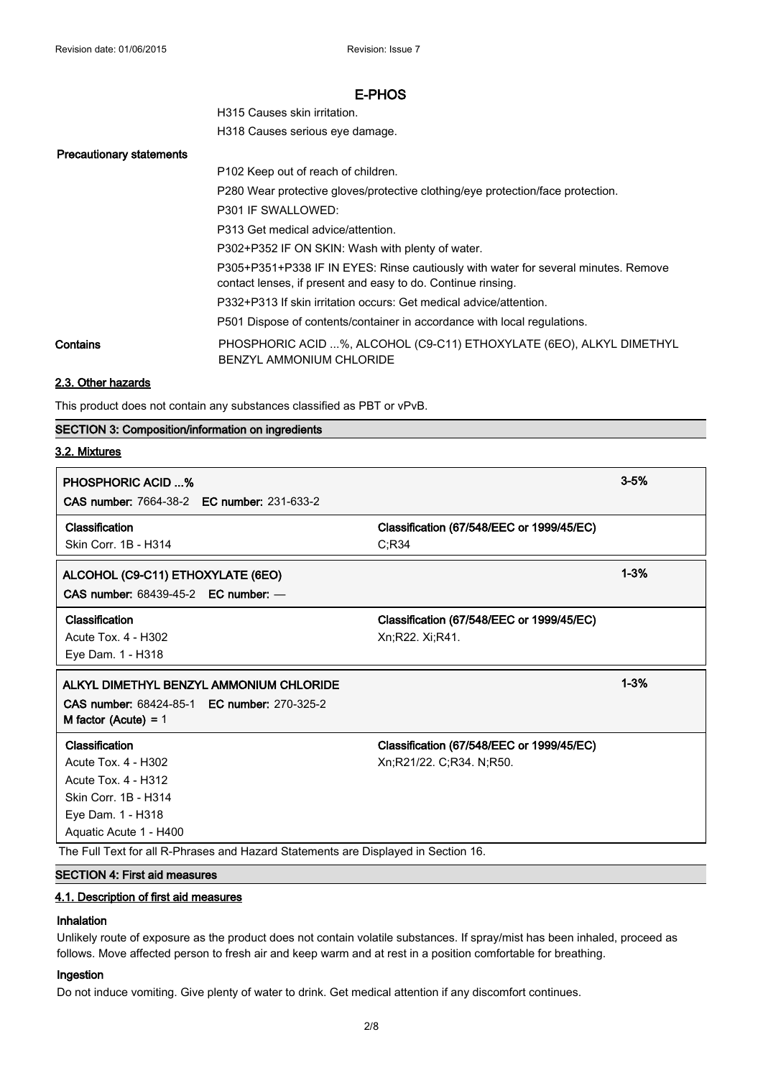| H315 Causes skin irritation.    |
|---------------------------------|
| H318 Causes serious eye damage. |

#### **Precautionary statements**

|          | P102 Keep out of reach of children.                                                                                                                |
|----------|----------------------------------------------------------------------------------------------------------------------------------------------------|
|          | P280 Wear protective gloves/protective clothing/eye protection/face protection.                                                                    |
|          | P301 IF SWALLOWED:                                                                                                                                 |
|          | P313 Get medical advice/attention.                                                                                                                 |
|          | P302+P352 IF ON SKIN: Wash with plenty of water.                                                                                                   |
|          | P305+P351+P338 IF IN EYES: Rinse cautiously with water for several minutes. Remove<br>contact lenses, if present and easy to do. Continue rinsing. |
|          | P332+P313 If skin irritation occurs: Get medical advice/attention.                                                                                 |
|          | P501 Dispose of contents/container in accordance with local regulations.                                                                           |
| Contains | PHOSPHORIC ACID %, ALCOHOL (C9-C11) ETHOXYLATE (6EO), ALKYL DIMETHYL<br>BENZYL AMMONIUM CHLORIDE                                                   |

## **2.3. Other hazards**

This product does not contain any substances classified as PBT or vPvB.

### **SECTION 3: Composition/information on ingredients**

### **3.2. Mixtures**

| <b>PHOSPHORIC ACID %</b><br><b>CAS number: 7664-38-2 EC number: 231-633-2</b>                                                       |                                                                       | $3 - 5%$ |
|-------------------------------------------------------------------------------------------------------------------------------------|-----------------------------------------------------------------------|----------|
| Classification<br>Skin Corr. 1B - H314                                                                                              | Classification (67/548/EEC or 1999/45/EC)<br>C; R34                   |          |
| ALCOHOL (C9-C11) ETHOXYLATE (6EO)<br>CAS number: 68439-45-2 EC number: -                                                            |                                                                       | $1 - 3%$ |
| Classification<br>Acute Tox. 4 - H302<br>Eye Dam. 1 - H318                                                                          | Classification (67/548/EEC or 1999/45/EC)<br>Xn;R22. Xi;R41.          |          |
|                                                                                                                                     |                                                                       |          |
| ALKYL DIMETHYL BENZYL AMMONIUM CHLORIDE<br>CAS number: 68424-85-1 EC number: 270-325-2<br>M factor (Acute) = $1$                    |                                                                       | $1 - 3%$ |
| Classification<br>Acute Tox. 4 - H302<br>Acute Tox. 4 - H312<br>Skin Corr. 1B - H314<br>Eye Dam. 1 - H318<br>Aquatic Acute 1 - H400 | Classification (67/548/EEC or 1999/45/EC)<br>Xn;R21/22. C;R34. N;R50. |          |

## **SECTION 4: First aid measures**

## **4.1. Description of first aid measures**

#### **Inhalation**

Unlikely route of exposure as the product does not contain volatile substances. If spray/mist has been inhaled, proceed as follows. Move affected person to fresh air and keep warm and at rest in a position comfortable for breathing.

## **Ingestion**

Do not induce vomiting. Give plenty of water to drink. Get medical attention if any discomfort continues.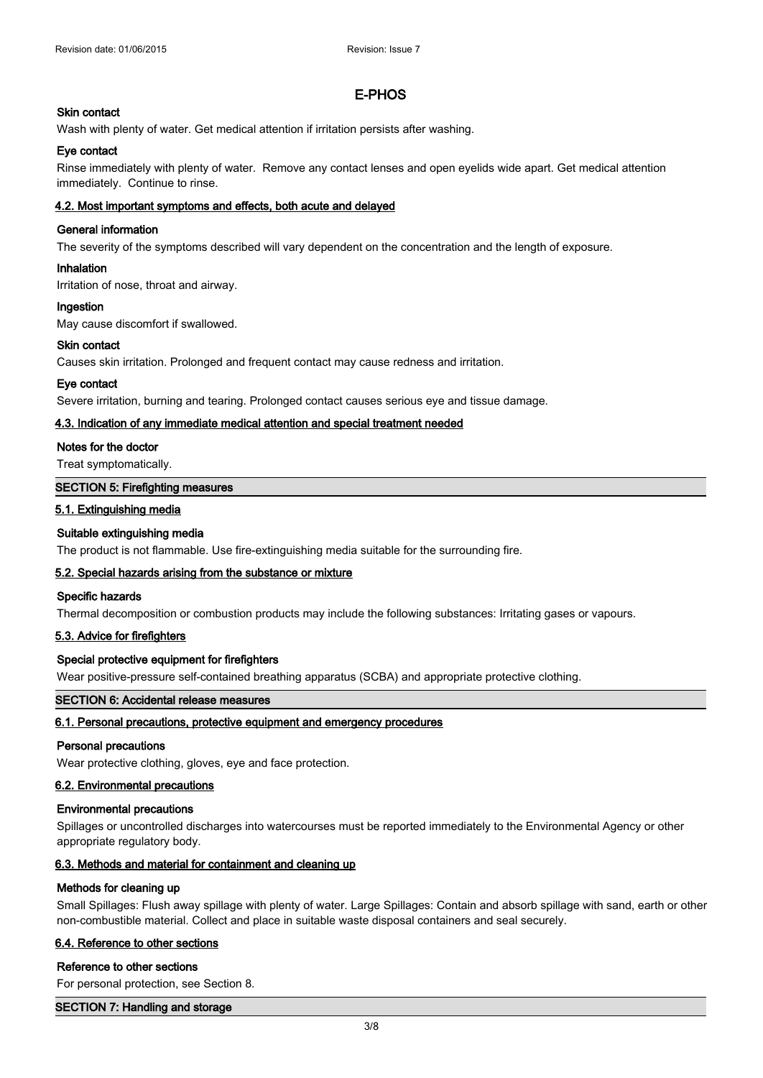### **Skin contact**

Wash with plenty of water. Get medical attention if irritation persists after washing.

### **Eye contact**

Rinse immediately with plenty of water. Remove any contact lenses and open eyelids wide apart. Get medical attention immediately. Continue to rinse.

### **4.2. Most important symptoms and effects, both acute and delayed**

### **General information**

The severity of the symptoms described will vary dependent on the concentration and the length of exposure.

## **Inhalation**

Irritation of nose, throat and airway.

### **Ingestion**

May cause discomfort if swallowed.

### **Skin contact**

Causes skin irritation. Prolonged and frequent contact may cause redness and irritation.

### **Eye contact**

Severe irritation, burning and tearing. Prolonged contact causes serious eye and tissue damage.

### **4.3. Indication of any immediate medical attention and special treatment needed**

### **Notes for the doctor**

Treat symptomatically.

#### **SECTION 5: Firefighting measures**

### **5.1. Extinguishing media**

### **Suitable extinguishing media**

The product is not flammable. Use fire-extinguishing media suitable for the surrounding fire.

### **5.2. Special hazards arising from the substance or mixture**

### **Specific hazards**

Thermal decomposition or combustion products may include the following substances: Irritating gases or vapours.

### **5.3. Advice for firefighters**

### **Special protective equipment for firefighters**

Wear positive-pressure self-contained breathing apparatus (SCBA) and appropriate protective clothing.

### **SECTION 6: Accidental release measures**

### **6.1. Personal precautions, protective equipment and emergency procedures**

#### **Personal precautions**

Wear protective clothing, gloves, eye and face protection.

### **6.2. Environmental precautions**

### **Environmental precautions**

Spillages or uncontrolled discharges into watercourses must be reported immediately to the Environmental Agency or other appropriate regulatory body.

### **6.3. Methods and material for containment and cleaning up**

#### **Methods for cleaning up**

Small Spillages: Flush away spillage with plenty of water. Large Spillages: Contain and absorb spillage with sand, earth or other non-combustible material. Collect and place in suitable waste disposal containers and seal securely.

### **6.4. Reference to other sections**

#### **Reference to other sections**

For personal protection, see Section 8.

### **SECTION 7: Handling and storage**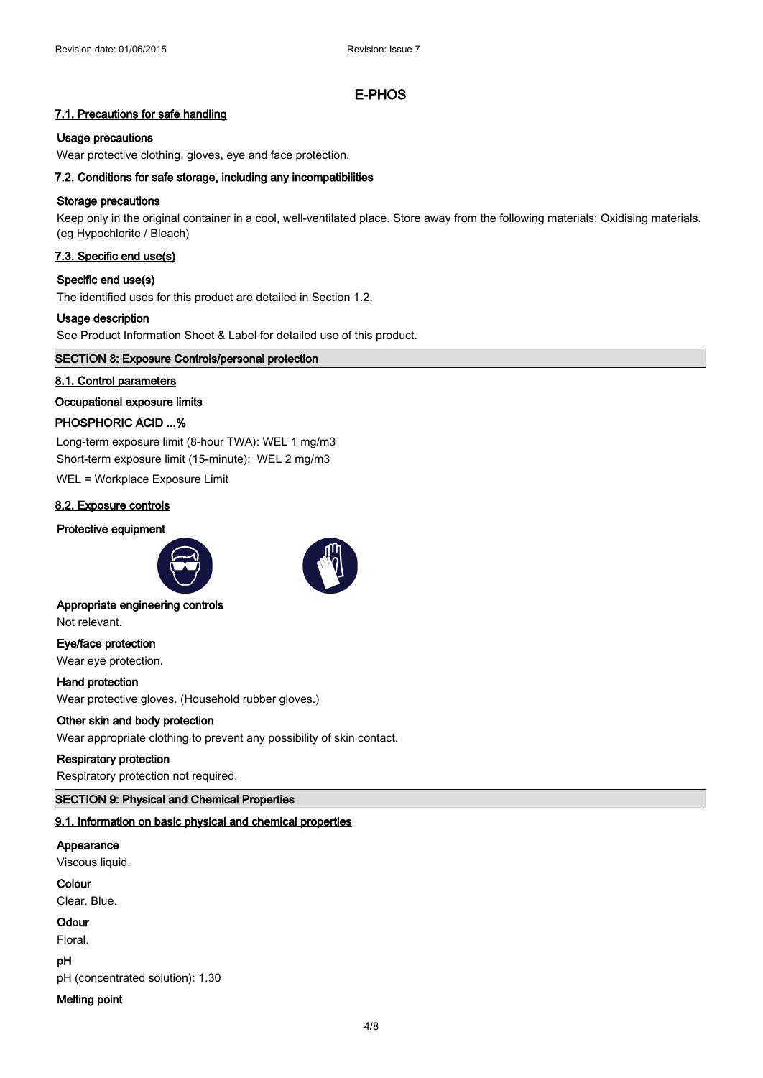### **7.1. Precautions for safe handling**

#### **Usage precautions**

Wear protective clothing, gloves, eye and face protection.

### **7.2. Conditions for safe storage, including any incompatibilities**

### **Storage precautions**

Keep only in the original container in a cool, well-ventilated place. Store away from the following materials: Oxidising materials. (eg Hypochlorite / Bleach)

## **7.3. Specific end use(s)**

#### **Specific end use(s)**

The identified uses for this product are detailed in Section 1.2.

#### **Usage description**

See Product Information Sheet & Label for detailed use of this product.

#### **SECTION 8: Exposure Controls/personal protection**

#### **8.1. Control parameters**

### **Occupational exposure limits**

## **PHOSPHORIC ACID ...%**

Long-term exposure limit (8-hour TWA): WEL 1 mg/m3 Short-term exposure limit (15-minute): WEL 2 mg/m3

WEL = Workplace Exposure Limit

### **8.2. Exposure controls**

### **Protective equipment**





Not relevant.

**Eye/face protection**

Wear eye protection.

**Hand protection** Wear protective gloves. (Household rubber gloves.)

### **Other skin and body protection**

Wear appropriate clothing to prevent any possibility of skin contact.

### **Respiratory protection**

Respiratory protection not required.

### **SECTION 9: Physical and Chemical Properties**

#### **9.1. Information on basic physical and chemical properties**

#### **Appearance**

Viscous liquid.

#### **Colour**

Clear. Blue.

#### **Odour**

Floral.

**pH**

pH (concentrated solution): 1.30

#### **Melting point**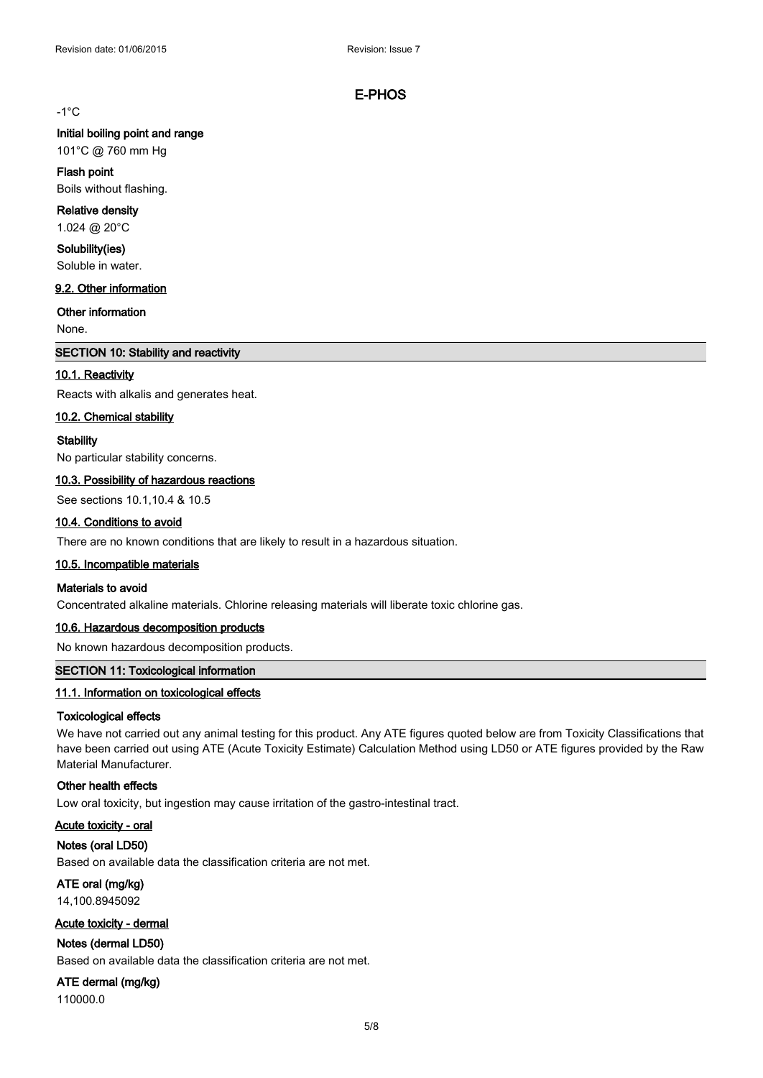### -1°C

#### **Initial boiling point and range**

101°C @ 760 mm Hg

#### **Flash point**

Boils without flashing.

#### **Relative density**

1.024 @ 20°C

#### **Solubility(ies)**

Soluble in water.

### **9.2. Other information**

**Other information**

None.

### **SECTION 10: Stability and reactivity**

#### **10.1. Reactivity**

Reacts with alkalis and generates heat.

#### **10.2. Chemical stability**

#### **Stability**

No particular stability concerns.

#### **10.3. Possibility of hazardous reactions**

See sections 10.1,10.4 & 10.5

#### **10.4. Conditions to avoid**

There are no known conditions that are likely to result in a hazardous situation.

#### **10.5. Incompatible materials**

#### **Materials to avoid**

Concentrated alkaline materials. Chlorine releasing materials will liberate toxic chlorine gas.

#### **10.6. Hazardous decomposition products**

No known hazardous decomposition products.

### **SECTION 11: Toxicological information**

#### **11.1. Information on toxicological effects**

#### **Toxicological effects**

We have not carried out any animal testing for this product. Any ATE figures quoted below are from Toxicity Classifications that have been carried out using ATE (Acute Toxicity Estimate) Calculation Method using LD50 or ATE figures provided by the Raw Material Manufacturer.

### **Other health effects**

Low oral toxicity, but ingestion may cause irritation of the gastro-intestinal tract.

#### **Acute toxicity - oral**

**Notes (oral LD50)**

Based on available data the classification criteria are not met.

**ATE oral (mg/kg)** 14,100.8945092

#### **Acute toxicity - dermal**

## **Notes (dermal LD50)**

Based on available data the classification criteria are not met.

#### **ATE dermal (mg/kg)**

110000.0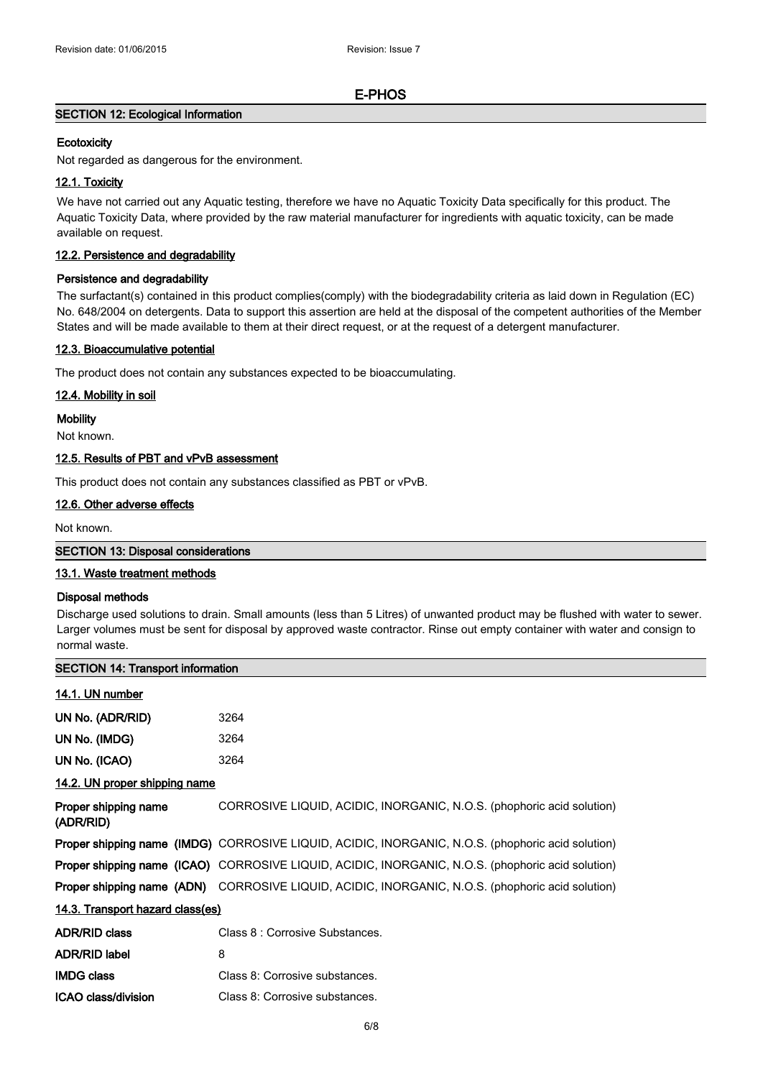### **SECTION 12: Ecological Information**

### **Ecotoxicity**

Not regarded as dangerous for the environment.

### **12.1. Toxicity**

We have not carried out any Aquatic testing, therefore we have no Aquatic Toxicity Data specifically for this product. The Aquatic Toxicity Data, where provided by the raw material manufacturer for ingredients with aquatic toxicity, can be made available on request.

### **12.2. Persistence and degradability**

#### **Persistence and degradability**

The surfactant(s) contained in this product complies(comply) with the biodegradability criteria as laid down in Regulation (EC) No. 648/2004 on detergents. Data to support this assertion are held at the disposal of the competent authorities of the Member States and will be made available to them at their direct request, or at the request of a detergent manufacturer.

#### **12.3. Bioaccumulative potential**

The product does not contain any substances expected to be bioaccumulating.

#### **12.4. Mobility in soil**

#### **Mobility**

Not known.

#### **12.5. Results of PBT and vPvB assessment**

This product does not contain any substances classified as PBT or vPvB.

### **12.6. Other adverse effects**

Not known.

#### **SECTION 13: Disposal considerations**

### **13.1. Waste treatment methods**

#### **Disposal methods**

Discharge used solutions to drain. Small amounts (less than 5 Litres) of unwanted product may be flushed with water to sewer. Larger volumes must be sent for disposal by approved waste contractor. Rinse out empty container with water and consign to normal waste.

| <b>SECTION 14: Transport information</b> |                                                                                                          |  |
|------------------------------------------|----------------------------------------------------------------------------------------------------------|--|
| 14.1. UN number                          |                                                                                                          |  |
| UN No. (ADR/RID)                         | 3264                                                                                                     |  |
| UN No. (IMDG)                            | 3264                                                                                                     |  |
| UN No. (ICAO)                            | 3264                                                                                                     |  |
| 14.2. UN proper shipping name            |                                                                                                          |  |
| Proper shipping name<br>(ADR/RID)        | CORROSIVE LIQUID, ACIDIC, INORGANIC, N.O.S. (phophoric acid solution)                                    |  |
|                                          | <b>Proper shipping name (IMDG)</b> CORROSIVE LIQUID, ACIDIC, INORGANIC, N.O.S. (phophoric acid solution) |  |
|                                          | Proper shipping name (ICAO) CORROSIVE LIQUID, ACIDIC, INORGANIC, N.O.S. (phophoric acid solution)        |  |
|                                          | Proper shipping name (ADN) CORROSIVE LIQUID, ACIDIC, INORGANIC, N.O.S. (phophoric acid solution)         |  |
| 14.3. Transport hazard class(es)         |                                                                                                          |  |
| <b>ADR/RID class</b>                     | Class 8 : Corrosive Substances.                                                                          |  |
| <b>ADR/RID label</b>                     | 8                                                                                                        |  |
| <b>IMDG class</b>                        | Class 8: Corrosive substances.                                                                           |  |
| <b>ICAO class/division</b>               | Class 8: Corrosive substances.                                                                           |  |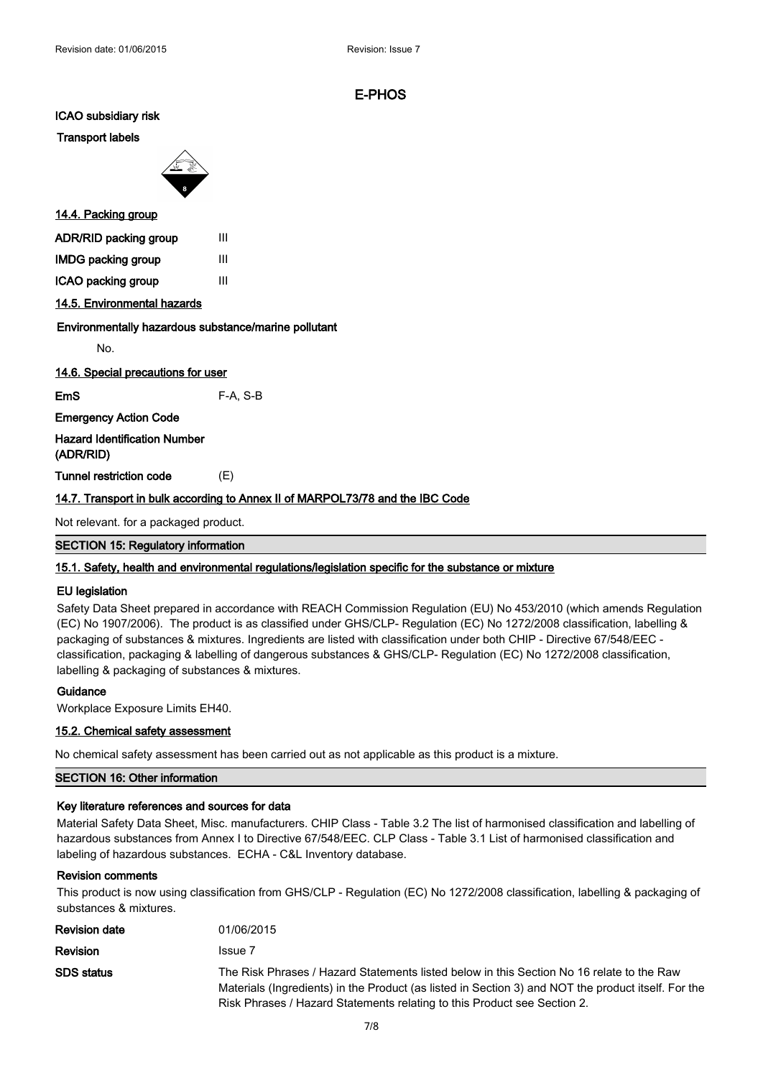**ICAO subsidiary risk**

**Transport labels**



### **14.4. Packing group**

| ADR/RID packing group     | Ш |
|---------------------------|---|
| <b>IMDG packing group</b> | Ш |
| ICAO packing group        | Ш |

### **14.5. Environmental hazards**

#### **Environmentally hazardous substance/marine pollutant**

No.

**14.6. Special precautions for user**

**EmS** F-A, S-B

**Emergency Action Code**

**Hazard Identification Number (ADR/RID)**

**Tunnel restriction code** (E)

### **14.7. Transport in bulk according to Annex II of MARPOL73/78 and the IBC Code**

Not relevant. for a packaged product.

**SECTION 15: Regulatory information**

#### **15.1. Safety, health and environmental regulations/legislation specific for the substance or mixture**

#### **EU legislation**

Safety Data Sheet prepared in accordance with REACH Commission Regulation (EU) No 453/2010 (which amends Regulation (EC) No 1907/2006). The product is as classified under GHS/CLP- Regulation (EC) No 1272/2008 classification, labelling & packaging of substances & mixtures. Ingredients are listed with classification under both CHIP - Directive 67/548/EEC classification, packaging & labelling of dangerous substances & GHS/CLP- Regulation (EC) No 1272/2008 classification, labelling & packaging of substances & mixtures.

#### **Guidance**

Workplace Exposure Limits EH40.

### **15.2. Chemical safety assessment**

No chemical safety assessment has been carried out as not applicable as this product is a mixture.

#### **SECTION 16: Other information**

#### **Key literature references and sources for data**

Material Safety Data Sheet, Misc. manufacturers. CHIP Class - Table 3.2 The list of harmonised classification and labelling of hazardous substances from Annex I to Directive 67/548/EEC. CLP Class - Table 3.1 List of harmonised classification and labeling of hazardous substances. ECHA - C&L Inventory database.

#### **Revision comments**

This product is now using classification from GHS/CLP - Regulation (EC) No 1272/2008 classification, labelling & packaging of substances & mixtures.

| <b>Revision date</b> | 01/06/2015                                                                                                                                                                                                                                                                   |
|----------------------|------------------------------------------------------------------------------------------------------------------------------------------------------------------------------------------------------------------------------------------------------------------------------|
| <b>Revision</b>      | Issue 7                                                                                                                                                                                                                                                                      |
| <b>SDS</b> status    | The Risk Phrases / Hazard Statements listed below in this Section No 16 relate to the Raw<br>Materials (Ingredients) in the Product (as listed in Section 3) and NOT the product itself. For the<br>Risk Phrases / Hazard Statements relating to this Product see Section 2. |